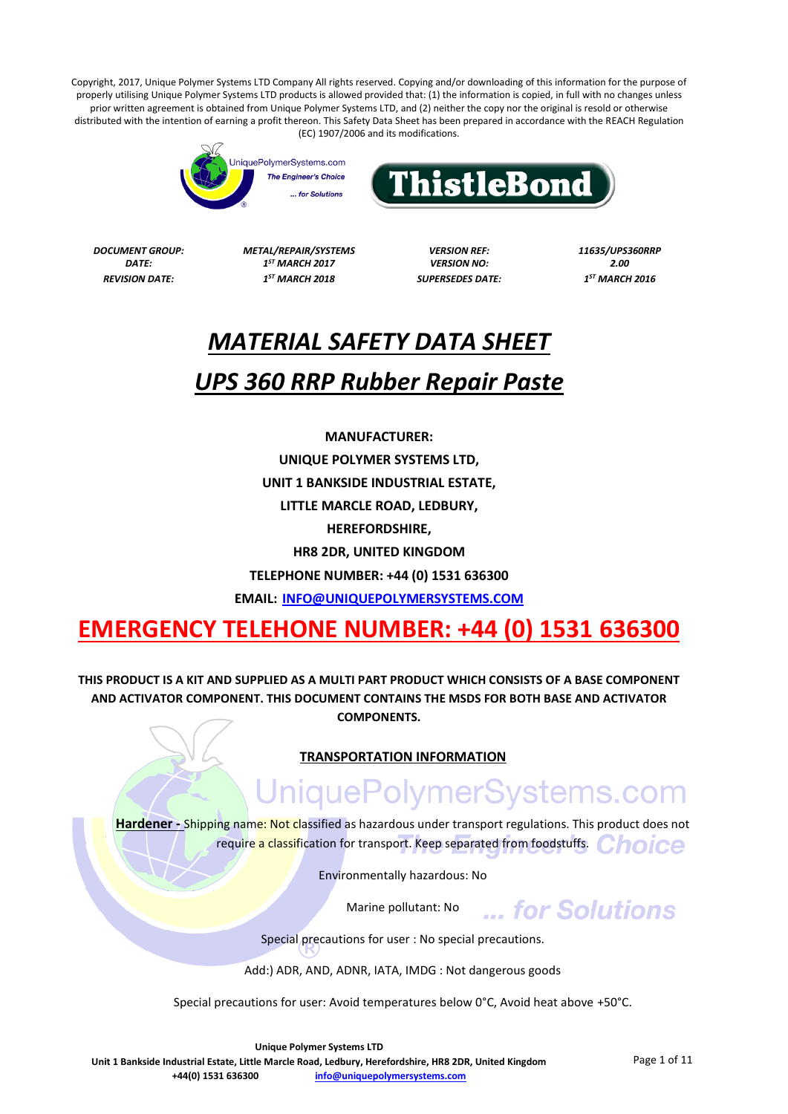



*DATE: 1 REVISION DATE: 1*

*DOCUMENT GROUP: METAL/REPAIR/SYSTEMS VERSION REF: 11635/UPS360RRP ST MARCH 2017 VERSION NO: 2.00*

*ST MARCH 2018 SUPERSEDES DATE: 1*

*ST MARCH 2016*

## *MATERIAL SAFETY DATA SHEET UPS 360 RRP Rubber Repair Paste*

**MANUFACTURER: UNIQUE POLYMER SYSTEMS LTD, UNIT 1 BANKSIDE INDUSTRIAL ESTATE, LITTLE MARCLE ROAD, LEDBURY, HEREFORDSHIRE, HR8 2DR, UNITED KINGDOM TELEPHONE NUMBER: +44 (0) 1531 636300**

**EMAIL: [INFO@UNIQUEPOLYMERSYSTEMS.COM](mailto:INFO@UNIQUEPOLYMERSYSTEMS.COM)**

### **EMERGENCY TELEHONE NUMBER: +44 (0) 1531 636300**

**THIS PRODUCT IS A KIT AND SUPPLIED AS A MULTI PART PRODUCT WHICH CONSISTS OF A BASE COMPONENT AND ACTIVATOR COMPONENT. THIS DOCUMENT CONTAINS THE MSDS FOR BOTH BASE AND ACTIVATOR COMPONENTS.**

#### **TRANSPORTATION INFORMATION**

# UniquePolymerSystems.com

**Hardener -** Shipping name: Not classified as hazardous under transport regulations. This product does not require a classification for transport. Keep separated from foodstuffs. Choice

Environmentally hazardous: No

Marine pollutant: No

Special precautions for user : No special precautions.

Add:) ADR, AND, ADNR, IATA, IMDG : Not dangerous goods

Special precautions for user: Avoid temperatures below 0°C, Avoid heat above +50°C.

**Unique Polymer Systems LTD**

**Unit 1 Bankside Industrial Estate, Little Marcle Road, Ledbury, Herefordshire, HR8 2DR, United Kingdom +44(0) 1531 636300 [info@uniquepolymersystems.com](mailto:info@uniquepolymersystems.com)**

**External Solutions**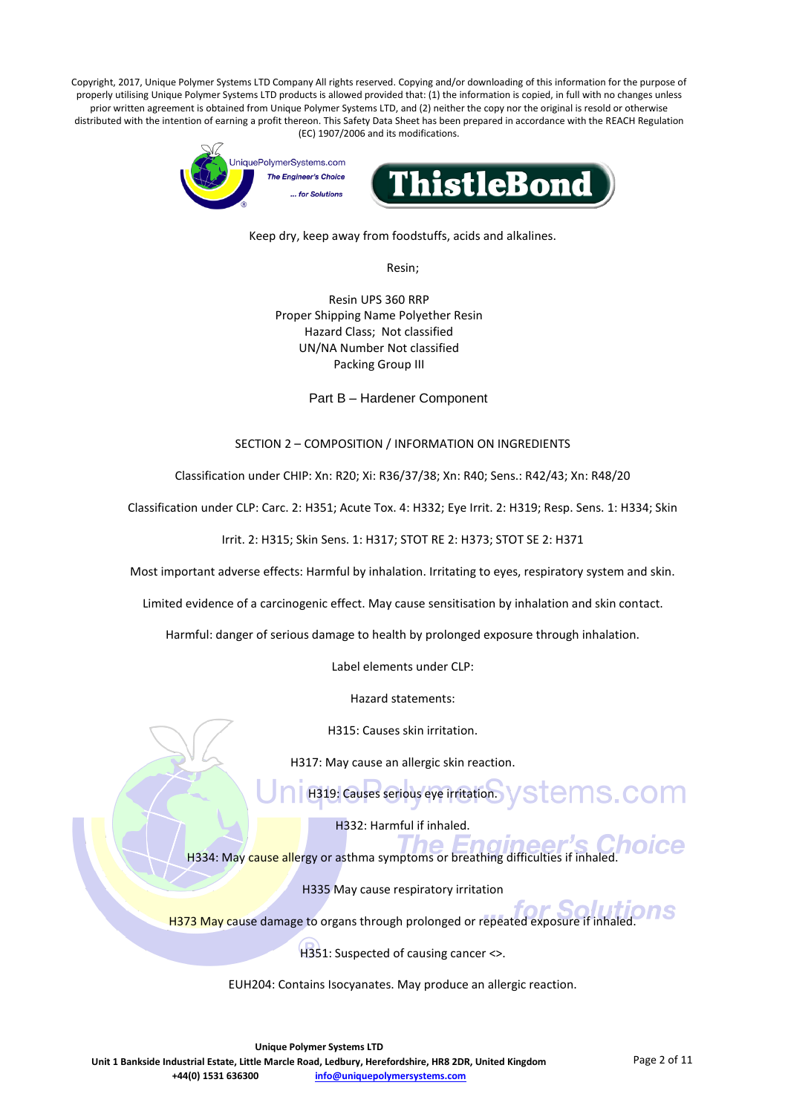

Keep dry, keep away from foodstuffs, acids and alkalines.

Resin;

Resin UPS 360 RRP Proper Shipping Name Polyether Resin Hazard Class; Not classified UN/NA Number Not classified Packing Group III

Part B – Hardener Component

#### SECTION 2 – COMPOSITION / INFORMATION ON INGREDIENTS

Classification under CHIP: Xn: R20; Xi: R36/37/38; Xn: R40; Sens.: R42/43; Xn: R48/20

Classification under CLP: Carc. 2: H351; Acute Tox. 4: H332; Eye Irrit. 2: H319; Resp. Sens. 1: H334; Skin

Irrit. 2: H315; Skin Sens. 1: H317; STOT RE 2: H373; STOT SE 2: H371

Most important adverse effects: Harmful by inhalation. Irritating to eyes, respiratory system and skin.

Limited evidence of a carcinogenic effect. May cause sensitisation by inhalation and skin contact.

Harmful: danger of serious damage to health by prolonged exposure through inhalation.

Label elements under CLP:

Hazard statements:

H315: Causes skin irritation.

H317: May cause an allergic skin reaction.

H319: Causes serious eye irritation. VSLemS.COM

H332: Harmful if inhaled.

H334: May cause allergy or asthma symptoms or breathing difficulties if inhaled.

H335 May cause respiratory irritation

ne S H373 May cause damage to organs through prolonged or repeated exposure if inhaled

H351: Suspected of causing cancer <>.

EUH204: Contains Isocyanates. May produce an allergic reaction.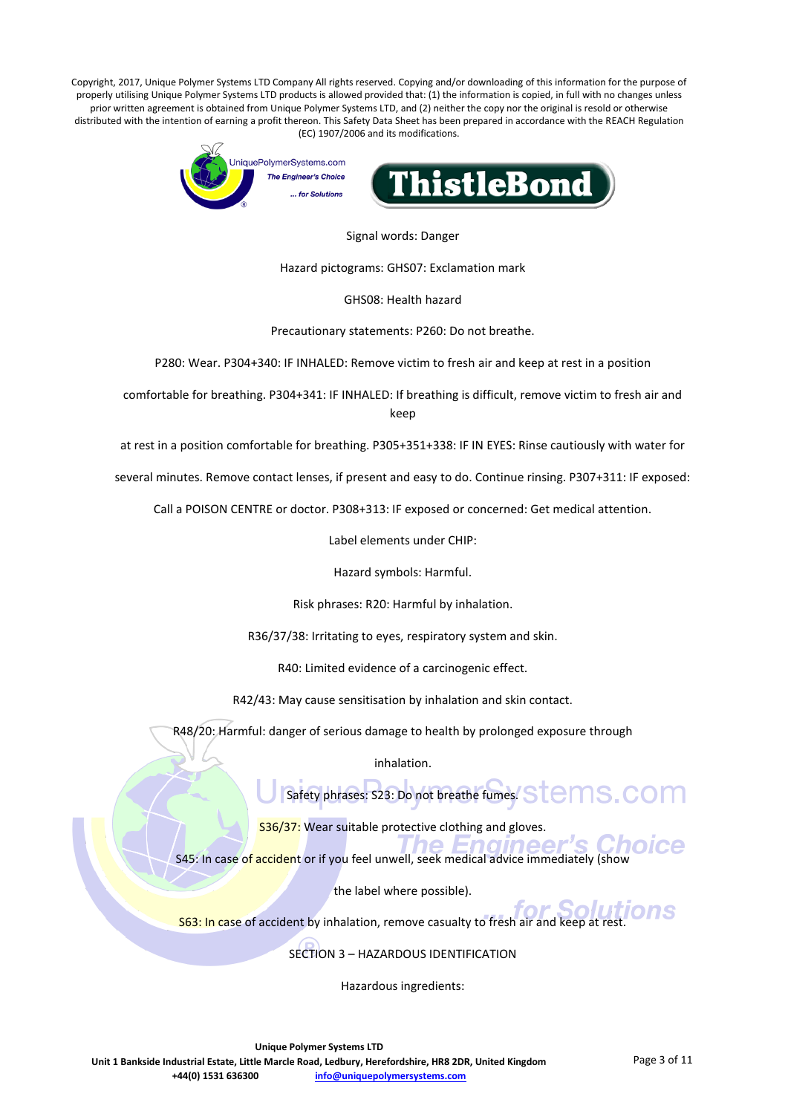

Signal words: Danger

Hazard pictograms: GHS07: Exclamation mark

GHS08: Health hazard

Precautionary statements: P260: Do not breathe.

P280: Wear. P304+340: IF INHALED: Remove victim to fresh air and keep at rest in a position

comfortable for breathing. P304+341: IF INHALED: If breathing is difficult, remove victim to fresh air and keep

at rest in a position comfortable for breathing. P305+351+338: IF IN EYES: Rinse cautiously with water for

several minutes. Remove contact lenses, if present and easy to do. Continue rinsing. P307+311: IF exposed:

Call a POISON CENTRE or doctor. P308+313: IF exposed or concerned: Get medical attention.

Label elements under CHIP:

Hazard symbols: Harmful.

Risk phrases: R20: Harmful by inhalation.

R36/37/38: Irritating to eyes, respiratory system and skin.

R40: Limited evidence of a carcinogenic effect.

R42/43: May cause sensitisation by inhalation and skin contact.

R48/20: Harmful: danger of serious damage to health by prolonged exposure through

inhalation.

Safety phrases: S23: Do not breathe fumes. STEMS. COM

S36/37: Wear suitable protective clothing and gloves.

S45: In case of accident or if you feel unwell, seek medical advice immediately (show

the label where possible).

S63: In case of accident by inhalation, remove casualty to fresh air and keep at rest.

SECTION 3 – HAZARDOUS IDENTIFICATION

Hazardous ingredients: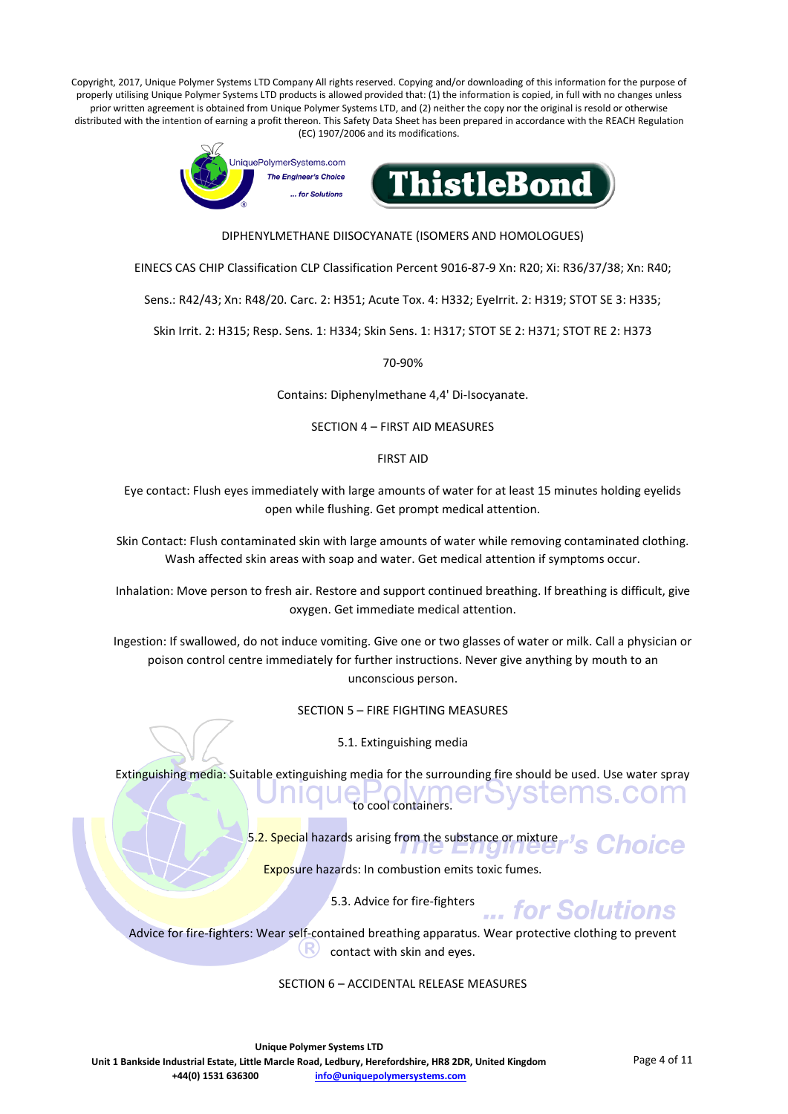

DIPHENYLMETHANE DIISOCYANATE (ISOMERS AND HOMOLOGUES)

EINECS CAS CHIP Classification CLP Classification Percent 9016-87-9 Xn: R20; Xi: R36/37/38; Xn: R40;

Sens.: R42/43; Xn: R48/20. Carc. 2: H351; Acute Tox. 4: H332; EyeIrrit. 2: H319; STOT SE 3: H335;

Skin Irrit. 2: H315; Resp. Sens. 1: H334; Skin Sens. 1: H317; STOT SE 2: H371; STOT RE 2: H373

70-90%

Contains: Diphenylmethane 4,4' Di-Isocyanate.

SECTION 4 – FIRST AID MEASURES

FIRST AID

Eye contact: Flush eyes immediately with large amounts of water for at least 15 minutes holding eyelids open while flushing. Get prompt medical attention.

Skin Contact: Flush contaminated skin with large amounts of water while removing contaminated clothing. Wash affected skin areas with soap and water. Get medical attention if symptoms occur.

Inhalation: Move person to fresh air. Restore and support continued breathing. If breathing is difficult, give oxygen. Get immediate medical attention.

Ingestion: If swallowed, do not induce vomiting. Give one or two glasses of water or milk. Call a physician or poison control centre immediately for further instructions. Never give anything by mouth to an unconscious person.

SECTION 5 – FIRE FIGHTING MEASURES

5.1. Extinguishing media

Extinguishing media: Suitable extinguishing media for the surrounding fire should be used. Use water spray to cool containers.

> 5.2. Special hazards arising from the substance or mixture :hoice

Exposure hazards: In combustion emits toxic fumes.

5.3. Advice for fire-fighters

Advice for fire-fighters: Wear self-contained breathing apparatus. Wear protective clothing to prevent contact with skin and eyes.

SECTION 6 – ACCIDENTAL RELEASE MEASURES

... for Solutions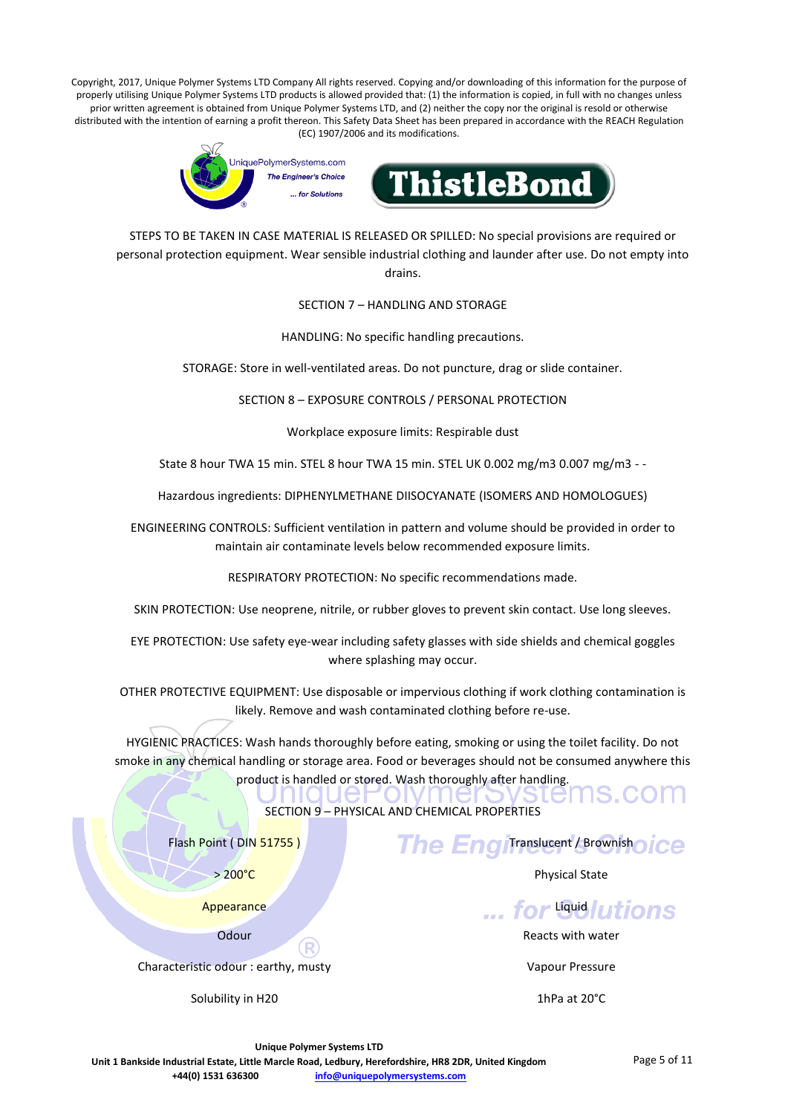

STEPS TO BE TAKEN IN CASE MATERIAL IS RELEASED OR SPILLED: No special provisions are required or personal protection equipment. Wear sensible industrial clothing and launder after use. Do not empty into drains.

SECTION 7 – HANDLING AND STORAGE

HANDLING: No specific handling precautions.

STORAGE: Store in well-ventilated areas. Do not puncture, drag or slide container.

SECTION 8 – EXPOSURE CONTROLS / PERSONAL PROTECTION

Workplace exposure limits: Respirable dust

State 8 hour TWA 15 min. STEL 8 hour TWA 15 min. STEL UK 0.002 mg/m3 0.007 mg/m3 - -

Hazardous ingredients: DIPHENYLMETHANE DIISOCYANATE (ISOMERS AND HOMOLOGUES)

ENGINEERING CONTROLS: Sufficient ventilation in pattern and volume should be provided in order to maintain air contaminate levels below recommended exposure limits.

RESPIRATORY PROTECTION: No specific recommendations made.

SKIN PROTECTION: Use neoprene, nitrile, or rubber gloves to prevent skin contact. Use long sleeves.

EYE PROTECTION: Use safety eye-wear including safety glasses with side shields and chemical goggles where splashing may occur.

OTHER PROTECTIVE EQUIPMENT: Use disposable or impervious clothing if work clothing contamination is likely. Remove and wash contaminated clothing before re-use.

HYGIENIC PRACTICES: Wash hands thoroughly before eating, smoking or using the toilet facility. Do not smoke in any chemical handling or storage area. Food or beverages should not be consumed anywhere this product is handled or stored. Wash thoroughly after handling.

SECTION 9 – PHYSICAL AND CHEMICAL PROPERTIES

Flash Point ( DIN 51755 )

> 200°C

**The Engiltranslucent / Brownishoice** Physical State

**Appearance** 

**Odour** 

Characteristic odour : earthy, musty

Solubility in H20

... for **Gulutions** 

Reacts with water

Vapour Pressure

1hPa at 20°C

**Unique Polymer Systems LTD**

**Unit 1 Bankside Industrial Estate, Little Marcle Road, Ledbury, Herefordshire, HR8 2DR, United Kingdom +44(0) 1531 636300 [info@uniquepolymersystems.com](mailto:info@uniquepolymersystems.com)**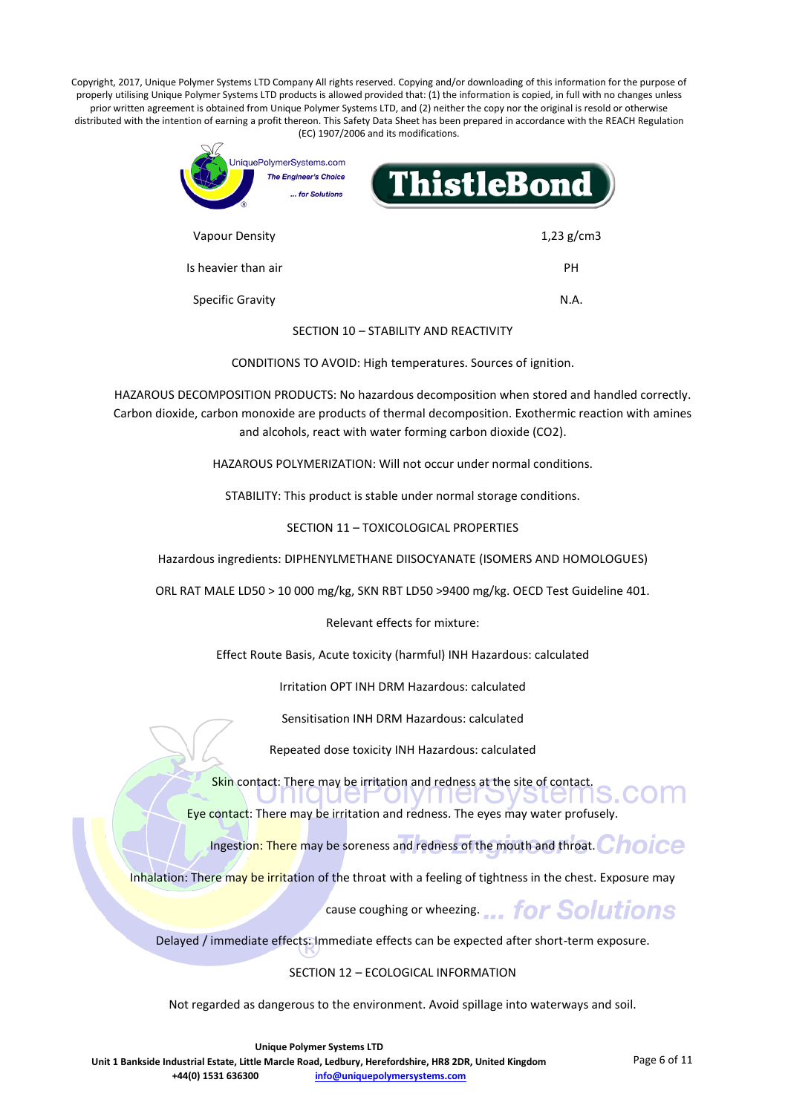

SECTION 10 – STABILITY AND REACTIVITY

CONDITIONS TO AVOID: High temperatures. Sources of ignition.

HAZAROUS DECOMPOSITION PRODUCTS: No hazardous decomposition when stored and handled correctly. Carbon dioxide, carbon monoxide are products of thermal decomposition. Exothermic reaction with amines and alcohols, react with water forming carbon dioxide (CO2).

HAZAROUS POLYMERIZATION: Will not occur under normal conditions.

STABILITY: This product is stable under normal storage conditions.

SECTION 11 – TOXICOLOGICAL PROPERTIES

Hazardous ingredients: DIPHENYLMETHANE DIISOCYANATE (ISOMERS AND HOMOLOGUES)

ORL RAT MALE LD50 > 10 000 mg/kg, SKN RBT LD50 >9400 mg/kg. OECD Test Guideline 401.

Relevant effects for mixture:

Effect Route Basis, Acute toxicity (harmful) INH Hazardous: calculated

Irritation OPT INH DRM Hazardous: calculated

Sensitisation INH DRM Hazardous: calculated

Repeated dose toxicity INH Hazardous: calculated

Skin contact: There may be irritation and redness at the site of contact.

Eye contact: There may be irritation and redness. The eyes may water profusely.

Ingestion: There may be soreness and redness of the mouth and throat. Choice

Inhalation: There may be irritation of the throat with a feeling of tightness in the chest. Exposure may

cause coughing or wheezing.... for Solutions

**PIGITI** 

Delayed / immediate effects: Immediate effects can be expected after short-term exposure.

#### SECTION 12 – ECOLOGICAL INFORMATION

Not regarded as dangerous to the environment. Avoid spillage into waterways and soil.

**Unique Polymer Systems LTD**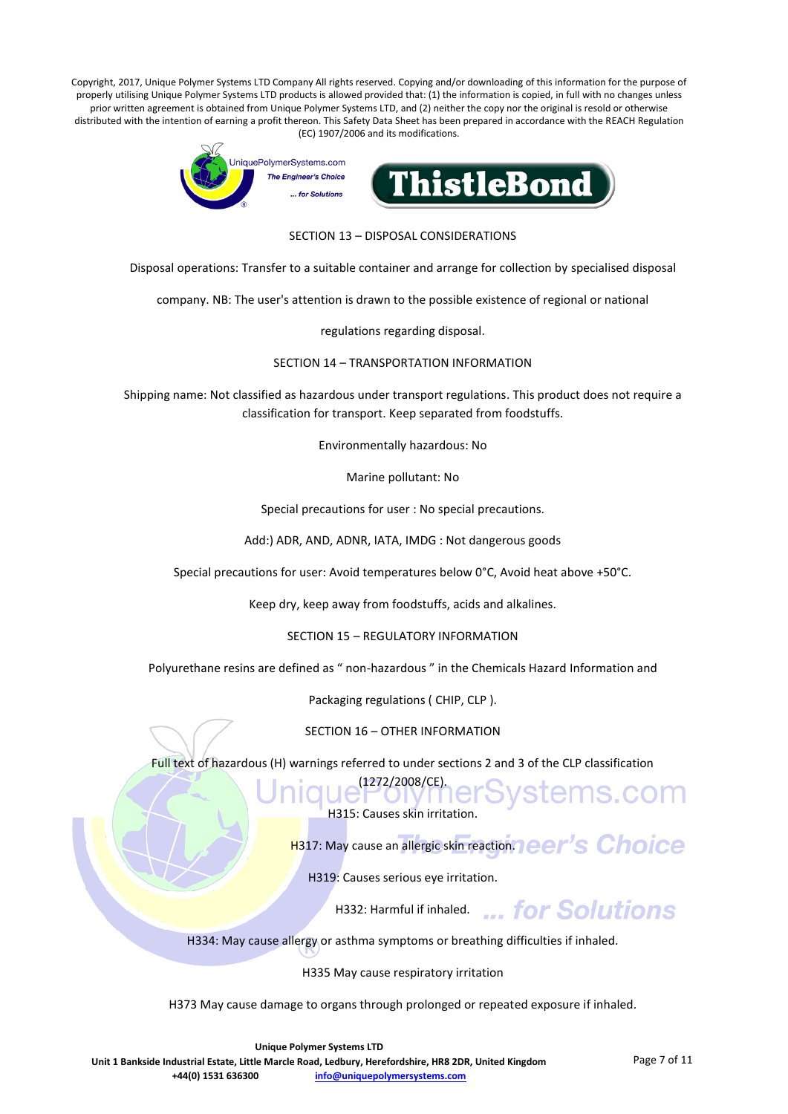

SECTION 13 – DISPOSAL CONSIDERATIONS

Disposal operations: Transfer to a suitable container and arrange for collection by specialised disposal

company. NB: The user's attention is drawn to the possible existence of regional or national

regulations regarding disposal.

SECTION 14 – TRANSPORTATION INFORMATION

Shipping name: Not classified as hazardous under transport regulations. This product does not require a classification for transport. Keep separated from foodstuffs.

Environmentally hazardous: No

Marine pollutant: No

Special precautions for user : No special precautions.

Add:) ADR, AND, ADNR, IATA, IMDG : Not dangerous goods

Special precautions for user: Avoid temperatures below 0°C, Avoid heat above +50°C.

Keep dry, keep away from foodstuffs, acids and alkalines.

SECTION 15 – REGULATORY INFORMATION

Polyurethane resins are defined as " non-hazardous " in the Chemicals Hazard Information and

Packaging regulations ( CHIP, CLP ).

SECTION 16 – OTHER INFORMATION

Full text of hazardous (H) warnings referred to under sections 2 and 3 of the CLP classification

que l'272/2008/CE) er Systems.com H315: Causes skin irritation.

H317: May cause an allergic skin reaction. **Deer's Choice** 

H319: Causes serious eye irritation.

H332: Harmful if inhaled. ... for Solutions

H334: May cause allergy or asthma symptoms or breathing difficulties if inhaled.

H335 May cause respiratory irritation

H373 May cause damage to organs through prolonged or repeated exposure if inhaled.

**Unique Polymer Systems LTD**

**Unit 1 Bankside Industrial Estate, Little Marcle Road, Ledbury, Herefordshire, HR8 2DR, United Kingdom +44(0) 1531 636300 [info@uniquepolymersystems.com](mailto:info@uniquepolymersystems.com)**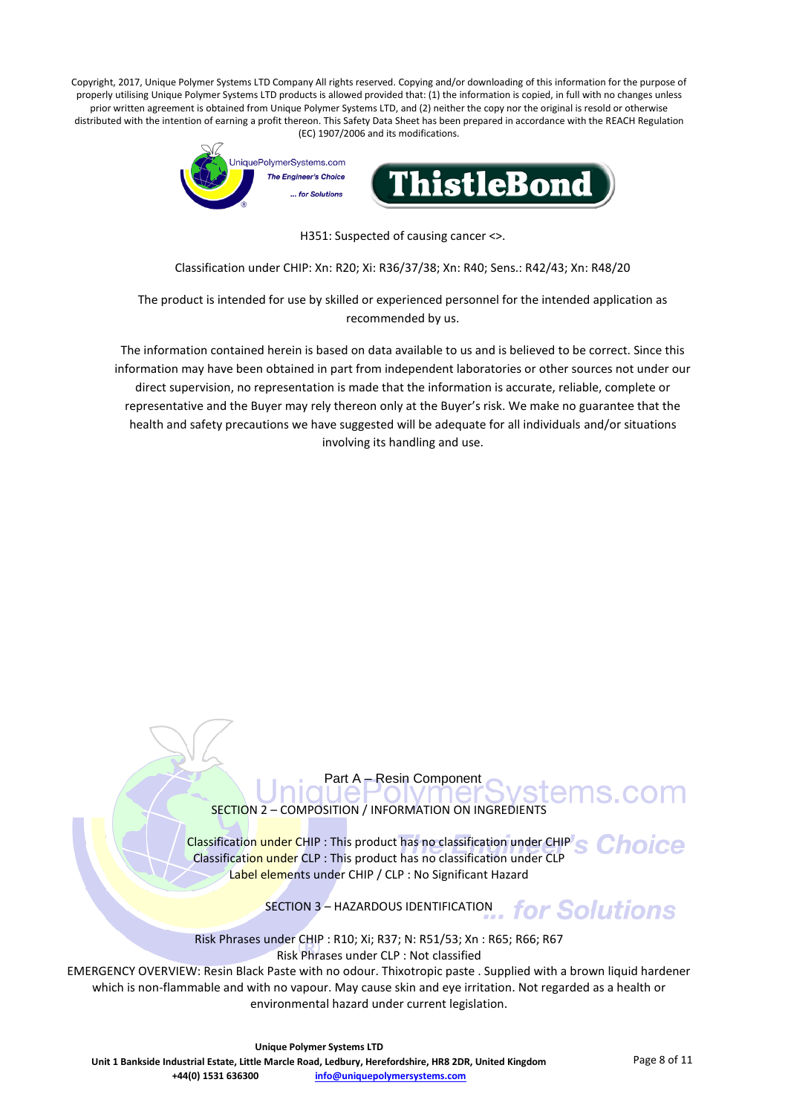

H351: Suspected of causing cancer <>.

Classification under CHIP: Xn: R20; Xi: R36/37/38; Xn: R40; Sens.: R42/43; Xn: R48/20

The product is intended for use by skilled or experienced personnel for the intended application as recommended by us.

The information contained herein is based on data available to us and is believed to be correct. Since this information may have been obtained in part from independent laboratories or other sources not under our direct supervision, no representation is made that the information is accurate, reliable, complete or representative and the Buyer may rely thereon only at the Buyer's risk. We make no guarantee that the health and safety precautions we have suggested will be adequate for all individuals and/or situations involving its handling and use.

> Part A – Resin Component SECTION 2 – COMPOSITION / INFORMATION ON INGREDIENTS

Classification under CHIP : This product has no classification under CHIP Classification under CLP : This product has no classification under CLP Label elements under CHIP / CLP : No Significant Hazard

SECTION 3 – HAZARDOUS IDENTIFICATION for Solutions

Risk Phrases under CHIP : R10; Xi; R37; N: R51/53; Xn : R65; R66; R67 Risk Phrases under CLP : Not classified

EMERGENCY OVERVIEW: Resin Black Paste with no odour. Thixotropic paste . Supplied with a brown liquid hardener which is non-flammable and with no vapour. May cause skin and eye irritation. Not regarded as a health or environmental hazard under current legislation.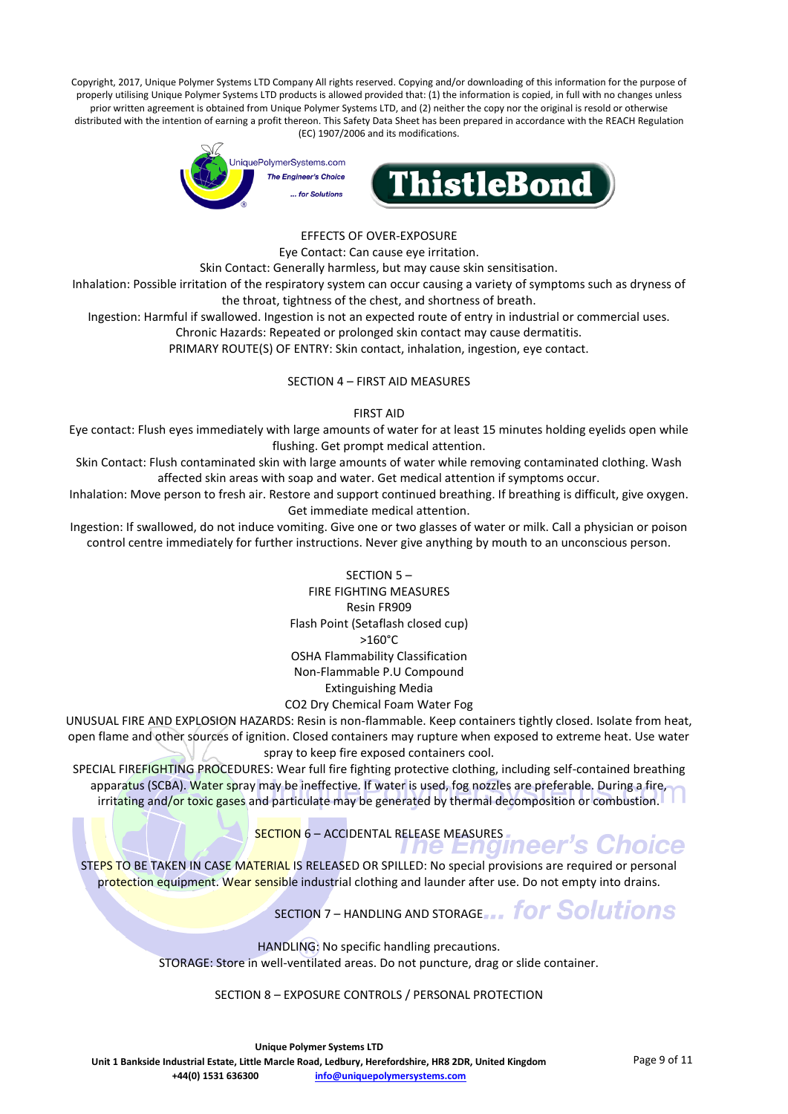

#### EFFECTS OF OVER-EXPOSURE

Eye Contact: Can cause eye irritation.

Skin Contact: Generally harmless, but may cause skin sensitisation.

Inhalation: Possible irritation of the respiratory system can occur causing a variety of symptoms such as dryness of the throat, tightness of the chest, and shortness of breath.

Ingestion: Harmful if swallowed. Ingestion is not an expected route of entry in industrial or commercial uses.

Chronic Hazards: Repeated or prolonged skin contact may cause dermatitis.

PRIMARY ROUTE(S) OF ENTRY: Skin contact, inhalation, ingestion, eye contact.

#### SECTION 4 – FIRST AID MEASURES

#### FIRST AID

Eye contact: Flush eyes immediately with large amounts of water for at least 15 minutes holding eyelids open while flushing. Get prompt medical attention.

Skin Contact: Flush contaminated skin with large amounts of water while removing contaminated clothing. Wash affected skin areas with soap and water. Get medical attention if symptoms occur.

Inhalation: Move person to fresh air. Restore and support continued breathing. If breathing is difficult, give oxygen. Get immediate medical attention.

Ingestion: If swallowed, do not induce vomiting. Give one or two glasses of water or milk. Call a physician or poison control centre immediately for further instructions. Never give anything by mouth to an unconscious person.

> SECTION 5 – FIRE FIGHTING MEASURES Resin FR909 Flash Point (Setaflash closed cup) >160°C OSHA Flammability Classification Non-Flammable P.U Compound Extinguishing Media CO2 Dry Chemical Foam Water Fog

UNUSUAL FIRE AND EXPLOSION HAZARDS: Resin is non-flammable. Keep containers tightly closed. Isolate from heat, open flame and other sources of ignition. Closed containers may rupture when exposed to extreme heat. Use water spray to keep fire exposed containers cool.

SPECIAL FIREFIGHTING PROCEDURES: Wear full fire fighting protective clothing, including self-contained breathing apparatus (SCBA). Water spray may be ineffective. If water is used, fog nozzles are preferable. During a fire, irritating and/or toxic gases and particulate may be generated by thermal decomposition or combustion.

SECTION 6 – ACCIDENTAL RELEASE MEASURES.<br>
THE Endineer's Choice

STEPS TO BE TAKEN IN CASE MATERIAL IS RELEASED OR SPILLED: No special provisions are required or personal protection equipment. Wear sensible industrial clothing and launder after use. Do not empty into drains.

SECTION 7 – HANDLING AND STORAGE... for Solutions

HANDLING: No specific handling precautions. STORAGE: Store in well-ventilated areas. Do not puncture, drag or slide container.

#### SECTION 8 – EXPOSURE CONTROLS / PERSONAL PROTECTION

**Unique Polymer Systems LTD Unit 1 Bankside Industrial Estate, Little Marcle Road, Ledbury, Herefordshire, HR8 2DR, United Kingdom +44(0) 1531 636300 [info@uniquepolymersystems.com](mailto:info@uniquepolymersystems.com)**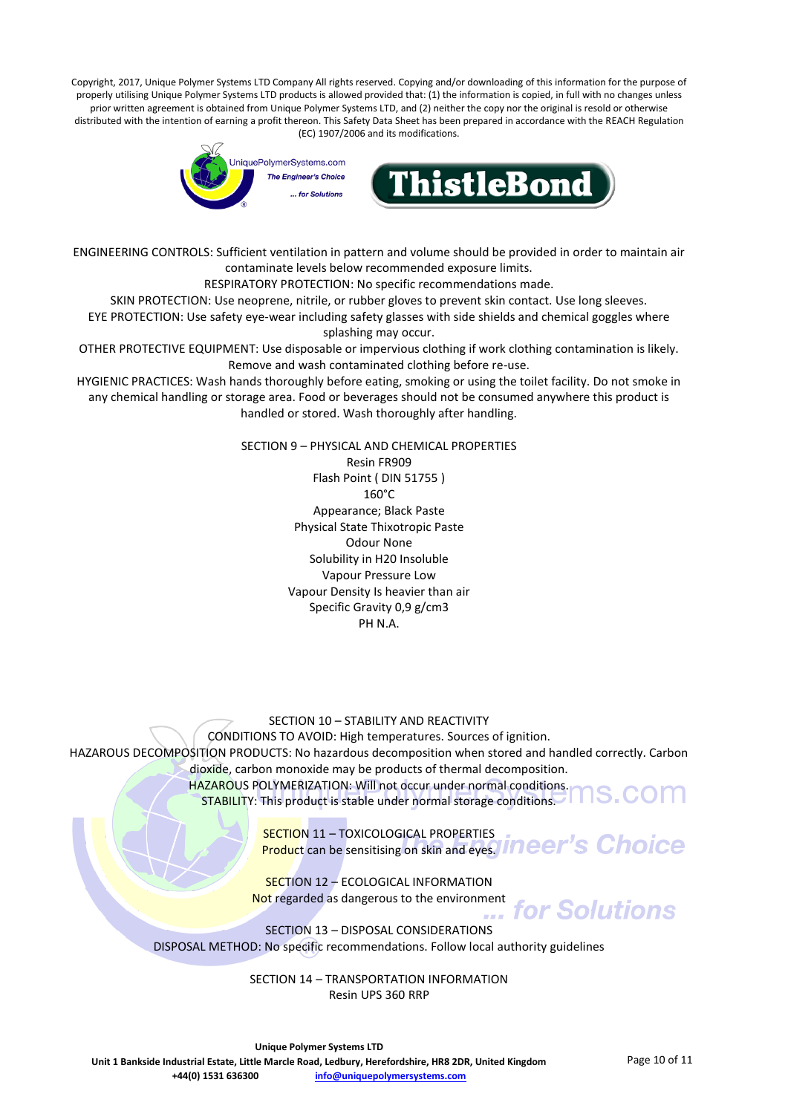

ENGINEERING CONTROLS: Sufficient ventilation in pattern and volume should be provided in order to maintain air contaminate levels below recommended exposure limits.

RESPIRATORY PROTECTION: No specific recommendations made.

SKIN PROTECTION: Use neoprene, nitrile, or rubber gloves to prevent skin contact. Use long sleeves.

EYE PROTECTION: Use safety eye-wear including safety glasses with side shields and chemical goggles where splashing may occur.

OTHER PROTECTIVE EQUIPMENT: Use disposable or impervious clothing if work clothing contamination is likely. Remove and wash contaminated clothing before re-use.

HYGIENIC PRACTICES: Wash hands thoroughly before eating, smoking or using the toilet facility. Do not smoke in any chemical handling or storage area. Food or beverages should not be consumed anywhere this product is handled or stored. Wash thoroughly after handling.

> SECTION 9 – PHYSICAL AND CHEMICAL PROPERTIES Resin FR909 Flash Point ( DIN 51755 ) 160°C Appearance; Black Paste Physical State Thixotropic Paste Odour None Solubility in H20 Insoluble Vapour Pressure Low Vapour Density Is heavier than air Specific Gravity 0,9 g/cm3 PH N.A.

#### SECTION 10 – STABILITY AND REACTIVITY

CONDITIONS TO AVOID: High temperatures. Sources of ignition.

HAZAROUS DECOMPOSITION PRODUCTS: No hazardous decomposition when stored and handled correctly. Carbon dioxide, carbon monoxide may be products of thermal decomposition.

HAZAROUS POLYMERIZATION: Will not occur under normal conditions. STABILITY: This product is stable under normal storage conditions.

> SECTION 11 – TOXICOLOGICAL PROPERTIES Product can be sensitising on skin and eyes. Ineer's Choice

SECTION 12 – ECOLOGICAL INFORMATION Not regarded as dangerous to the environment for Solutions

SECTION 13 – DISPOSAL CONSIDERATIONS DISPOSAL METHOD: No specific recommendations. Follow local authority guidelines

> SECTION 14 – TRANSPORTATION INFORMATION Resin UPS 360 RRP